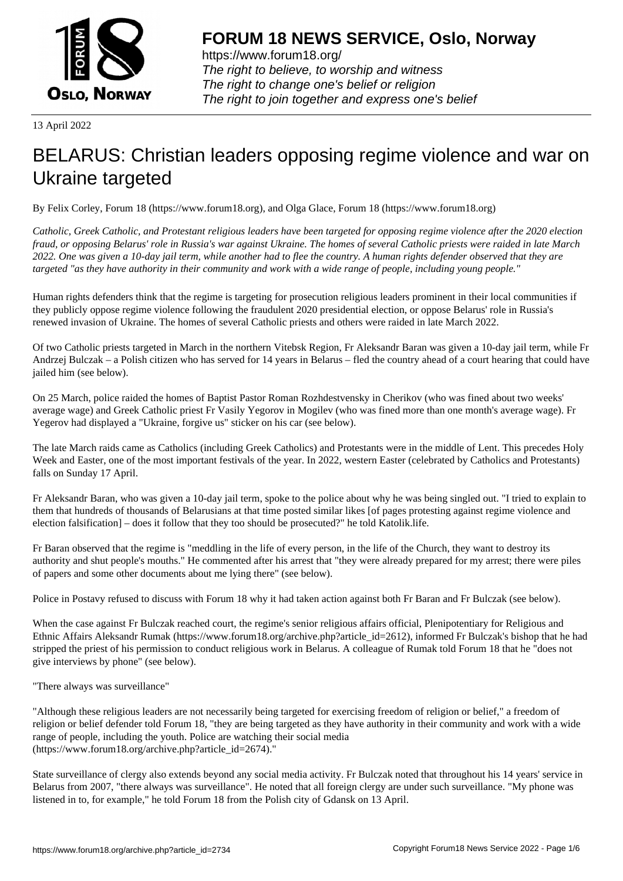

https://www.forum18.org/ The right to believe, to worship and witness The right to change one's belief or religion [The right to join together a](https://www.forum18.org/)nd express one's belief

13 April 2022

# [BELARUS: Chr](https://www.forum18.org)istian leaders opposing regime violence and war on Ukraine targeted

By Felix Corley, Forum 18 (https://www.forum18.org), and Olga Glace, Forum 18 (https://www.forum18.org)

*Catholic, Greek Catholic, and Protestant religious leaders have been targeted for opposing regime violence after the 2020 election fraud, or opposing Belarus' role in Russia's war against Ukraine. The homes of several Catholic priests were raided in late March 2022. One was given a 10-day jail term, while another had to flee the country. A human rights defender observed that they are targeted "as they have authority in their community and work with a wide range of people, including young people."*

Human rights defenders think that the regime is targeting for prosecution religious leaders prominent in their local communities if they publicly oppose regime violence following the fraudulent 2020 presidential election, or oppose Belarus' role in Russia's renewed invasion of Ukraine. The homes of several Catholic priests and others were raided in late March 2022.

Of two Catholic priests targeted in March in the northern Vitebsk Region, Fr Aleksandr Baran was given a 10-day jail term, while Fr Andrzej Bulczak – a Polish citizen who has served for 14 years in Belarus – fled the country ahead of a court hearing that could have jailed him (see below).

On 25 March, police raided the homes of Baptist Pastor Roman Rozhdestvensky in Cherikov (who was fined about two weeks' average wage) and Greek Catholic priest Fr Vasily Yegorov in Mogilev (who was fined more than one month's average wage). Fr Yegerov had displayed a "Ukraine, forgive us" sticker on his car (see below).

The late March raids came as Catholics (including Greek Catholics) and Protestants were in the middle of Lent. This precedes Holy Week and Easter, one of the most important festivals of the year. In 2022, western Easter (celebrated by Catholics and Protestants) falls on Sunday 17 April.

Fr Aleksandr Baran, who was given a 10-day jail term, spoke to the police about why he was being singled out. "I tried to explain to them that hundreds of thousands of Belarusians at that time posted similar likes [of pages protesting against regime violence and election falsification] – does it follow that they too should be prosecuted?" he told Katolik.life.

Fr Baran observed that the regime is "meddling in the life of every person, in the life of the Church, they want to destroy its authority and shut people's mouths." He commented after his arrest that "they were already prepared for my arrest; there were piles of papers and some other documents about me lying there" (see below).

Police in Postavy refused to discuss with Forum 18 why it had taken action against both Fr Baran and Fr Bulczak (see below).

When the case against Fr Bulczak reached court, the regime's senior religious affairs official, Plenipotentiary for Religious and Ethnic Affairs Aleksandr Rumak (https://www.forum18.org/archive.php?article\_id=2612), informed Fr Bulczak's bishop that he had stripped the priest of his permission to conduct religious work in Belarus. A colleague of Rumak told Forum 18 that he "does not give interviews by phone" (see below).

"There always was surveillance"

"Although these religious leaders are not necessarily being targeted for exercising freedom of religion or belief," a freedom of religion or belief defender told Forum 18, "they are being targeted as they have authority in their community and work with a wide range of people, including the youth. Police are watching their social media (https://www.forum18.org/archive.php?article\_id=2674)."

State surveillance of clergy also extends beyond any social media activity. Fr Bulczak noted that throughout his 14 years' service in Belarus from 2007, "there always was surveillance". He noted that all foreign clergy are under such surveillance. "My phone was listened in to, for example," he told Forum 18 from the Polish city of Gdansk on 13 April.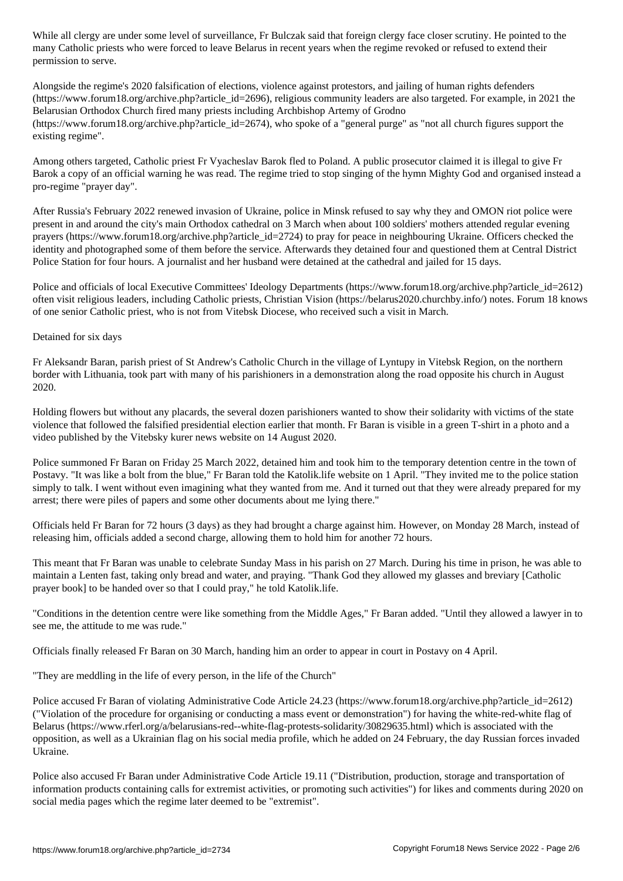many Catholic priests who were forced to leave Belarus in recent years when the regime revoked or refused to extend their permission to serve.

Alongside the regime's 2020 falsification of elections, violence against protestors, and jailing of human rights defenders (https://www.forum18.org/archive.php?article\_id=2696), religious community leaders are also targeted. For example, in 2021 the Belarusian Orthodox Church fired many priests including Archbishop Artemy of Grodno  $(\text{https://www.forum18.org/archive.php?article id=2674})$ , who spoke of a "general purge" as "not all church figures support the existing regime".

Among others targeted, Catholic priest Fr Vyacheslav Barok fled to Poland. A public prosecutor claimed it is illegal to give Fr Barok a copy of an official warning he was read. The regime tried to stop singing of the hymn Mighty God and organised instead a pro-regime "prayer day".

After Russia's February 2022 renewed invasion of Ukraine, police in Minsk refused to say why they and OMON riot police were present in and around the city's main Orthodox cathedral on 3 March when about 100 soldiers' mothers attended regular evening prayers (https://www.forum18.org/archive.php?article\_id=2724) to pray for peace in neighbouring Ukraine. Officers checked the identity and photographed some of them before the service. Afterwards they detained four and questioned them at Central District Police Station for four hours. A journalist and her husband were detained at the cathedral and jailed for 15 days.

Police and officials of local Executive Committees' Ideology Departments (https://www.forum18.org/archive.php?article\_id=2612) often visit religious leaders, including Catholic priests, Christian Vision (https://belarus2020.churchby.info/) notes. Forum 18 knows of one senior Catholic priest, who is not from Vitebsk Diocese, who received such a visit in March.

#### Detained for six days

Fr Aleksandr Baran, parish priest of St Andrew's Catholic Church in the village of Lyntupy in Vitebsk Region, on the northern border with Lithuania, took part with many of his parishioners in a demonstration along the road opposite his church in August 2020.

Holding flowers but without any placards, the several dozen parishioners wanted to show their solidarity with victims of the state violence that followed the falsified presidential election earlier that month. Fr Baran is visible in a green T-shirt in a photo and a video published by the Vitebsky kurer news website on 14 August 2020.

Police summoned Fr Baran on Friday 25 March 2022, detained him and took him to the temporary detention centre in the town of Postavy. "It was like a bolt from the blue," Fr Baran told the Katolik.life website on 1 April. "They invited me to the police station simply to talk. I went without even imagining what they wanted from me. And it turned out that they were already prepared for my arrest; there were piles of papers and some other documents about me lying there."

Officials held Fr Baran for 72 hours (3 days) as they had brought a charge against him. However, on Monday 28 March, instead of releasing him, officials added a second charge, allowing them to hold him for another 72 hours.

This meant that Fr Baran was unable to celebrate Sunday Mass in his parish on 27 March. During his time in prison, he was able to maintain a Lenten fast, taking only bread and water, and praying. "Thank God they allowed my glasses and breviary [Catholic prayer book] to be handed over so that I could pray," he told Katolik.life.

"Conditions in the detention centre were like something from the Middle Ages," Fr Baran added. "Until they allowed a lawyer in to see me, the attitude to me was rude."

Officials finally released Fr Baran on 30 March, handing him an order to appear in court in Postavy on 4 April.

"They are meddling in the life of every person, in the life of the Church"

Police accused Fr Baran of violating Administrative Code Article 24.23 (https://www.forum18.org/archive.php?article\_id=2612) ("Violation of the procedure for organising or conducting a mass event or demonstration") for having the white-red-white flag of Belarus (https://www.rferl.org/a/belarusians-red--white-flag-protests-solidarity/30829635.html) which is associated with the opposition, as well as a Ukrainian flag on his social media profile, which he added on 24 February, the day Russian forces invaded Ukraine.

Police also accused Fr Baran under Administrative Code Article 19.11 ("Distribution, production, storage and transportation of information products containing calls for extremist activities, or promoting such activities") for likes and comments during 2020 on social media pages which the regime later deemed to be "extremist".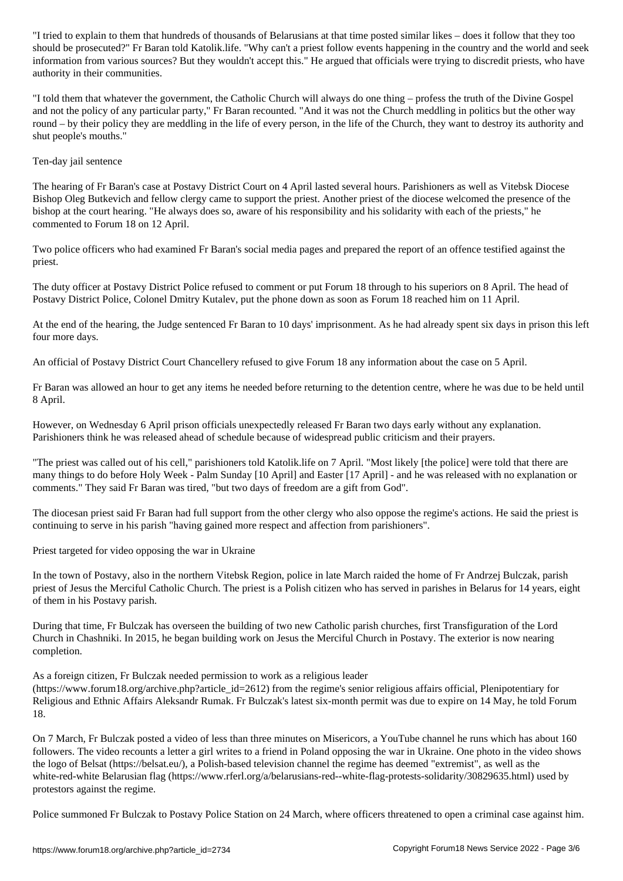should be prosecuted?" Fr Baran told Katolik.life. "Why can't a priest follow events happening in the country and the world and seek information from various sources? But they wouldn't accept this." He argued that officials were trying to discredit priests, who have authority in their communities.

"I told them that whatever the government, the Catholic Church will always do one thing – profess the truth of the Divine Gospel and not the policy of any particular party," Fr Baran recounted. "And it was not the Church meddling in politics but the other way round – by their policy they are meddling in the life of every person, in the life of the Church, they want to destroy its authority and shut people's mouths."

## Ten-day jail sentence

The hearing of Fr Baran's case at Postavy District Court on 4 April lasted several hours. Parishioners as well as Vitebsk Diocese Bishop Oleg Butkevich and fellow clergy came to support the priest. Another priest of the diocese welcomed the presence of the bishop at the court hearing. "He always does so, aware of his responsibility and his solidarity with each of the priests," he commented to Forum 18 on 12 April.

Two police officers who had examined Fr Baran's social media pages and prepared the report of an offence testified against the priest.

The duty officer at Postavy District Police refused to comment or put Forum 18 through to his superiors on 8 April. The head of Postavy District Police, Colonel Dmitry Kutalev, put the phone down as soon as Forum 18 reached him on 11 April.

At the end of the hearing, the Judge sentenced Fr Baran to 10 days' imprisonment. As he had already spent six days in prison this left four more days.

An official of Postavy District Court Chancellery refused to give Forum 18 any information about the case on 5 April.

Fr Baran was allowed an hour to get any items he needed before returning to the detention centre, where he was due to be held until 8 April.

However, on Wednesday 6 April prison officials unexpectedly released Fr Baran two days early without any explanation. Parishioners think he was released ahead of schedule because of widespread public criticism and their prayers.

"The priest was called out of his cell," parishioners told Katolik.life on 7 April. "Most likely [the police] were told that there are many things to do before Holy Week - Palm Sunday [10 April] and Easter [17 April] - and he was released with no explanation or comments." They said Fr Baran was tired, "but two days of freedom are a gift from God".

The diocesan priest said Fr Baran had full support from the other clergy who also oppose the regime's actions. He said the priest is continuing to serve in his parish "having gained more respect and affection from parishioners".

Priest targeted for video opposing the war in Ukraine

In the town of Postavy, also in the northern Vitebsk Region, police in late March raided the home of Fr Andrzej Bulczak, parish priest of Jesus the Merciful Catholic Church. The priest is a Polish citizen who has served in parishes in Belarus for 14 years, eight of them in his Postavy parish.

During that time, Fr Bulczak has overseen the building of two new Catholic parish churches, first Transfiguration of the Lord Church in Chashniki. In 2015, he began building work on Jesus the Merciful Church in Postavy. The exterior is now nearing completion.

As a foreign citizen, Fr Bulczak needed permission to work as a religious leader (https://www.forum18.org/archive.php?article\_id=2612) from the regime's senior religious affairs official, Plenipotentiary for Religious and Ethnic Affairs Aleksandr Rumak. Fr Bulczak's latest six-month permit was due to expire on 14 May, he told Forum 18.

On 7 March, Fr Bulczak posted a video of less than three minutes on Misericors, a YouTube channel he runs which has about 160 followers. The video recounts a letter a girl writes to a friend in Poland opposing the war in Ukraine. One photo in the video shows the logo of Belsat (https://belsat.eu/), a Polish-based television channel the regime has deemed "extremist", as well as the white-red-white Belarusian flag (https://www.rferl.org/a/belarusians-red--white-flag-protests-solidarity/30829635.html) used by protestors against the regime.

Police summoned Fr Bulczak to Postavy Police Station on 24 March, where officers threatened to open a criminal case against him.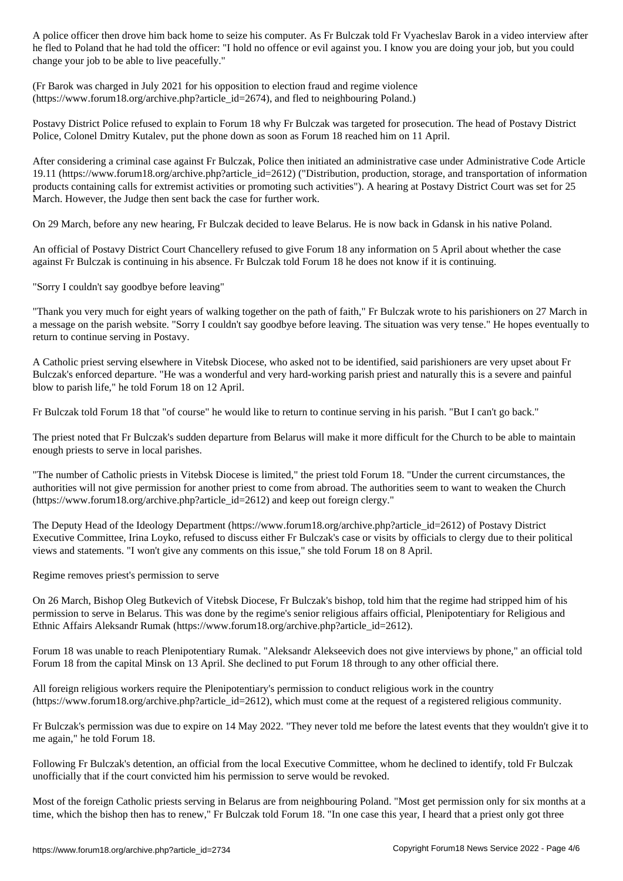he had to Poland the officer: "I hold no offence or evil against your job, but you are doing you are doing you change your job to be able to live peacefully."

(Fr Barok was charged in July 2021 for his opposition to election fraud and regime violence (https://www.forum18.org/archive.php?article\_id=2674), and fled to neighbouring Poland.)

Postavy District Police refused to explain to Forum 18 why Fr Bulczak was targeted for prosecution. The head of Postavy District Police, Colonel Dmitry Kutalev, put the phone down as soon as Forum 18 reached him on 11 April.

After considering a criminal case against Fr Bulczak, Police then initiated an administrative case under Administrative Code Article 19.11 (https://www.forum18.org/archive.php?article\_id=2612) ("Distribution, production, storage, and transportation of information products containing calls for extremist activities or promoting such activities"). A hearing at Postavy District Court was set for 25 March. However, the Judge then sent back the case for further work.

On 29 March, before any new hearing, Fr Bulczak decided to leave Belarus. He is now back in Gdansk in his native Poland.

An official of Postavy District Court Chancellery refused to give Forum 18 any information on 5 April about whether the case against Fr Bulczak is continuing in his absence. Fr Bulczak told Forum 18 he does not know if it is continuing.

"Sorry I couldn't say goodbye before leaving"

"Thank you very much for eight years of walking together on the path of faith," Fr Bulczak wrote to his parishioners on 27 March in a message on the parish website. "Sorry I couldn't say goodbye before leaving. The situation was very tense." He hopes eventually to return to continue serving in Postavy.

A Catholic priest serving elsewhere in Vitebsk Diocese, who asked not to be identified, said parishioners are very upset about Fr Bulczak's enforced departure. "He was a wonderful and very hard-working parish priest and naturally this is a severe and painful blow to parish life," he told Forum 18 on 12 April.

Fr Bulczak told Forum 18 that "of course" he would like to return to continue serving in his parish. "But I can't go back."

The priest noted that Fr Bulczak's sudden departure from Belarus will make it more difficult for the Church to be able to maintain enough priests to serve in local parishes.

"The number of Catholic priests in Vitebsk Diocese is limited," the priest told Forum 18. "Under the current circumstances, the authorities will not give permission for another priest to come from abroad. The authorities seem to want to weaken the Church (https://www.forum18.org/archive.php?article\_id=2612) and keep out foreign clergy."

The Deputy Head of the Ideology Department (https://www.forum18.org/archive.php?article\_id=2612) of Postavy District Executive Committee, Irina Loyko, refused to discuss either Fr Bulczak's case or visits by officials to clergy due to their political views and statements. "I won't give any comments on this issue," she told Forum 18 on 8 April.

Regime removes priest's permission to serve

On 26 March, Bishop Oleg Butkevich of Vitebsk Diocese, Fr Bulczak's bishop, told him that the regime had stripped him of his permission to serve in Belarus. This was done by the regime's senior religious affairs official, Plenipotentiary for Religious and Ethnic Affairs Aleksandr Rumak (https://www.forum18.org/archive.php?article\_id=2612).

Forum 18 was unable to reach Plenipotentiary Rumak. "Aleksandr Alekseevich does not give interviews by phone," an official told Forum 18 from the capital Minsk on 13 April. She declined to put Forum 18 through to any other official there.

All foreign religious workers require the Plenipotentiary's permission to conduct religious work in the country  $(\text{https://www.forum18.org/archive.php?article id=2612})$ , which must come at the request of a registered religious community.

Fr Bulczak's permission was due to expire on 14 May 2022. "They never told me before the latest events that they wouldn't give it to me again," he told Forum 18.

Following Fr Bulczak's detention, an official from the local Executive Committee, whom he declined to identify, told Fr Bulczak unofficially that if the court convicted him his permission to serve would be revoked.

Most of the foreign Catholic priests serving in Belarus are from neighbouring Poland. "Most get permission only for six months at a time, which the bishop then has to renew," Fr Bulczak told Forum 18. "In one case this year, I heard that a priest only got three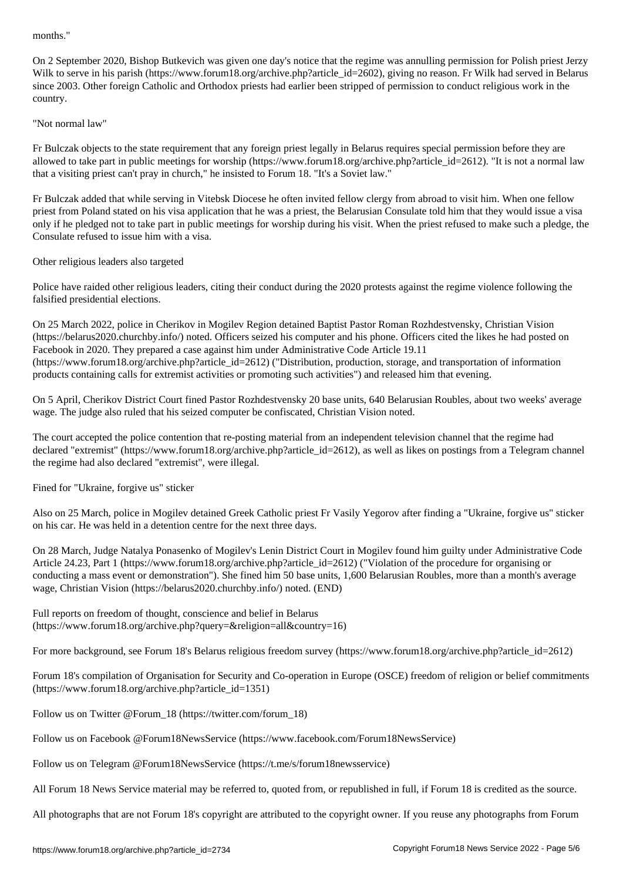On 2 September 2020, Bishop Butkevich was given one day's notice that the regime was annulling permission for Polish priest Jerzy Wilk to serve in his parish (https://www.forum18.org/archive.php?article\_id=2602), giving no reason. Fr Wilk had served in Belarus since 2003. Other foreign Catholic and Orthodox priests had earlier been stripped of permission to conduct religious work in the country.

### "Not normal law"

Fr Bulczak objects to the state requirement that any foreign priest legally in Belarus requires special permission before they are allowed to take part in public meetings for worship (https://www.forum18.org/archive.php?article\_id=2612). "It is not a normal law that a visiting priest can't pray in church," he insisted to Forum 18. "It's a Soviet law."

Fr Bulczak added that while serving in Vitebsk Diocese he often invited fellow clergy from abroad to visit him. When one fellow priest from Poland stated on his visa application that he was a priest, the Belarusian Consulate told him that they would issue a visa only if he pledged not to take part in public meetings for worship during his visit. When the priest refused to make such a pledge, the Consulate refused to issue him with a visa.

## Other religious leaders also targeted

Police have raided other religious leaders, citing their conduct during the 2020 protests against the regime violence following the falsified presidential elections.

On 25 March 2022, police in Cherikov in Mogilev Region detained Baptist Pastor Roman Rozhdestvensky, Christian Vision (https://belarus2020.churchby.info/) noted. Officers seized his computer and his phone. Officers cited the likes he had posted on Facebook in 2020. They prepared a case against him under Administrative Code Article 19.11 (https://www.forum18.org/archive.php?article\_id=2612) ("Distribution, production, storage, and transportation of information products containing calls for extremist activities or promoting such activities") and released him that evening.

On 5 April, Cherikov District Court fined Pastor Rozhdestvensky 20 base units, 640 Belarusian Roubles, about two weeks' average wage. The judge also ruled that his seized computer be confiscated, Christian Vision noted.

The court accepted the police contention that re-posting material from an independent television channel that the regime had declared "extremist" (https://www.forum18.org/archive.php?article\_id=2612), as well as likes on postings from a Telegram channel the regime had also declared "extremist", were illegal.

Fined for "Ukraine, forgive us" sticker

Also on 25 March, police in Mogilev detained Greek Catholic priest Fr Vasily Yegorov after finding a "Ukraine, forgive us" sticker on his car. He was held in a detention centre for the next three days.

On 28 March, Judge Natalya Ponasenko of Mogilev's Lenin District Court in Mogilev found him guilty under Administrative Code Article 24.23, Part 1 (https://www.forum18.org/archive.php?article\_id=2612) ("Violation of the procedure for organising or conducting a mass event or demonstration"). She fined him 50 base units, 1,600 Belarusian Roubles, more than a month's average wage, Christian Vision (https://belarus2020.churchby.info/) noted. (END)

Full reports on freedom of thought, conscience and belief in Belarus (https://www.forum18.org/archive.php?query=&religion=all&country=16)

For more background, see Forum 18's Belarus religious freedom survey (https://www.forum18.org/archive.php?article\_id=2612)

Forum 18's compilation of Organisation for Security and Co-operation in Europe (OSCE) freedom of religion or belief commitments (https://www.forum18.org/archive.php?article\_id=1351)

Follow us on Twitter @Forum\_18 (https://twitter.com/forum\_18)

Follow us on Facebook @Forum18NewsService (https://www.facebook.com/Forum18NewsService)

Follow us on Telegram @Forum18NewsService (https://t.me/s/forum18newsservice)

All Forum 18 News Service material may be referred to, quoted from, or republished in full, if Forum 18 is credited as the source.

All photographs that are not Forum 18's copyright are attributed to the copyright owner. If you reuse any photographs from Forum